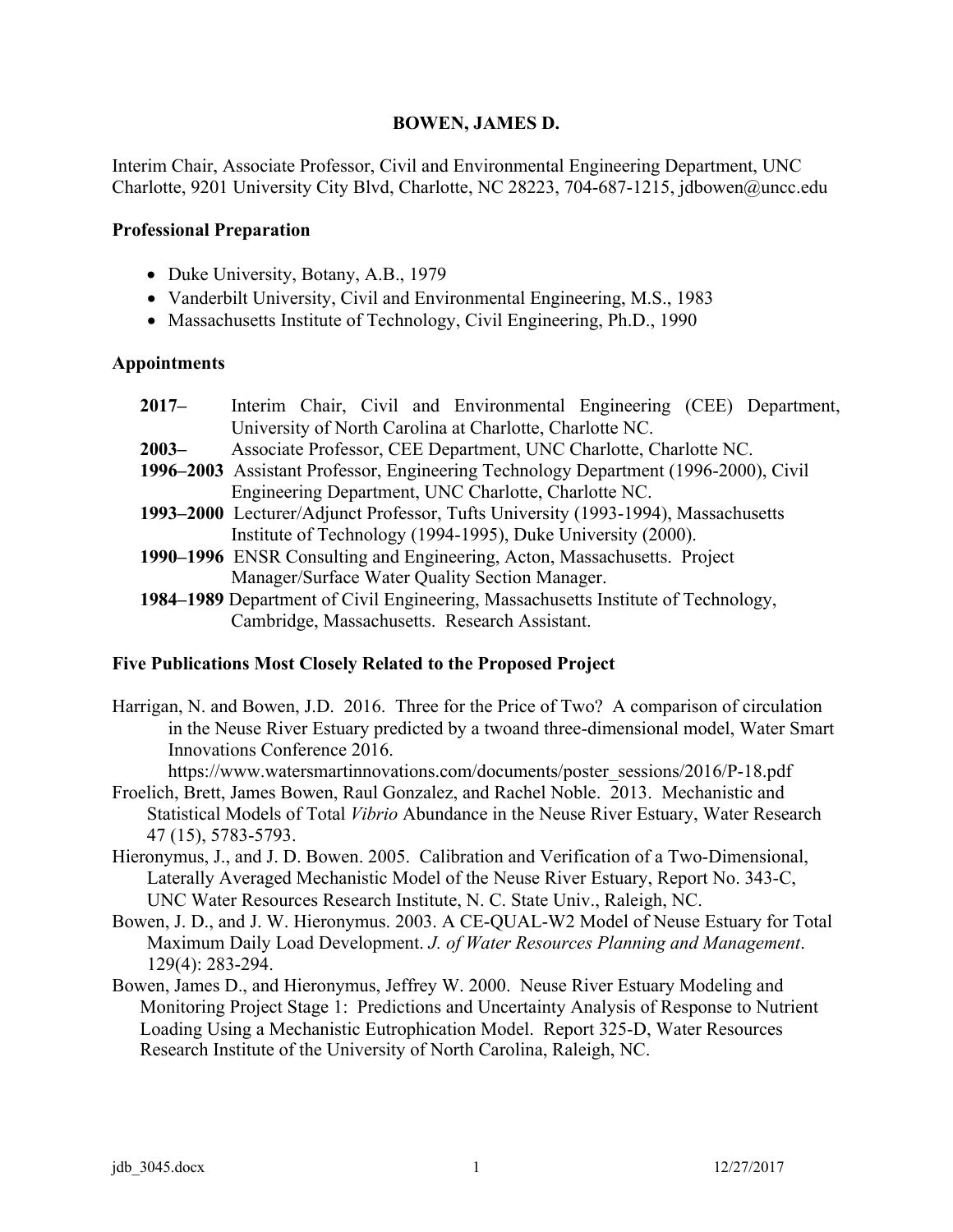# **BOWEN, JAMES D.**

Interim Chair, Associate Professor, Civil and Environmental Engineering Department, UNC Charlotte, 9201 University City Blvd, Charlotte, NC 28223, 704-687-1215, jdbowen@uncc.edu

#### **Professional Preparation**

- Duke University, Botany, A.B., 1979
- Vanderbilt University, Civil and Environmental Engineering, M.S., 1983
- Massachusetts Institute of Technology, Civil Engineering, Ph.D., 1990

### **Appointments**

| $2017 -$ | Interim Chair, Civil and Environmental Engineering (CEE) Department,                |
|----------|-------------------------------------------------------------------------------------|
|          | University of North Carolina at Charlotte, Charlotte NC.                            |
| $2003 -$ | Associate Professor, CEE Department, UNC Charlotte, Charlotte NC.                   |
|          | 1996–2003 Assistant Professor, Engineering Technology Department (1996-2000), Civil |
|          | Engineering Department, UNC Charlotte, Charlotte NC.                                |
|          | 1993–2000 Lecturer/Adjunct Professor, Tufts University (1993-1994), Massachusetts   |
|          | Institute of Technology (1994-1995), Duke University (2000).                        |
|          | 1990–1996 ENSR Consulting and Engineering, Acton, Massachusetts. Project            |
|          | Manager/Surface Water Quality Section Manager.                                      |
|          | 1984–1989 Department of Civil Engineering, Massachusetts Institute of Technology,   |

Cambridge, Massachusetts. Research Assistant.

### **Five Publications Most Closely Related to the Proposed Project**

Harrigan, N. and Bowen, J.D. 2016. Three for the Price of Two? A comparison of circulation in the Neuse River Estuary predicted by a twoand three-dimensional model, Water Smart Innovations Conference 2016.

https://www.watersmartinnovations.com/documents/poster\_sessions/2016/P-18.pdf

- Froelich, Brett, James Bowen, Raul Gonzalez, and Rachel Noble. 2013. Mechanistic and Statistical Models of Total *Vibrio* Abundance in the Neuse River Estuary, Water Research 47 (15), 5783-5793.
- Hieronymus, J., and J. D. Bowen. 2005. Calibration and Verification of a Two-Dimensional, Laterally Averaged Mechanistic Model of the Neuse River Estuary, Report No. 343-C, UNC Water Resources Research Institute, N. C. State Univ., Raleigh, NC.
- Bowen, J. D., and J. W. Hieronymus. 2003. A CE-QUAL-W2 Model of Neuse Estuary for Total Maximum Daily Load Development. *J. of Water Resources Planning and Management*. 129(4): 283-294.
- Bowen, James D., and Hieronymus, Jeffrey W. 2000. Neuse River Estuary Modeling and Monitoring Project Stage 1: Predictions and Uncertainty Analysis of Response to Nutrient Loading Using a Mechanistic Eutrophication Model. Report 325-D, Water Resources Research Institute of the University of North Carolina, Raleigh, NC.